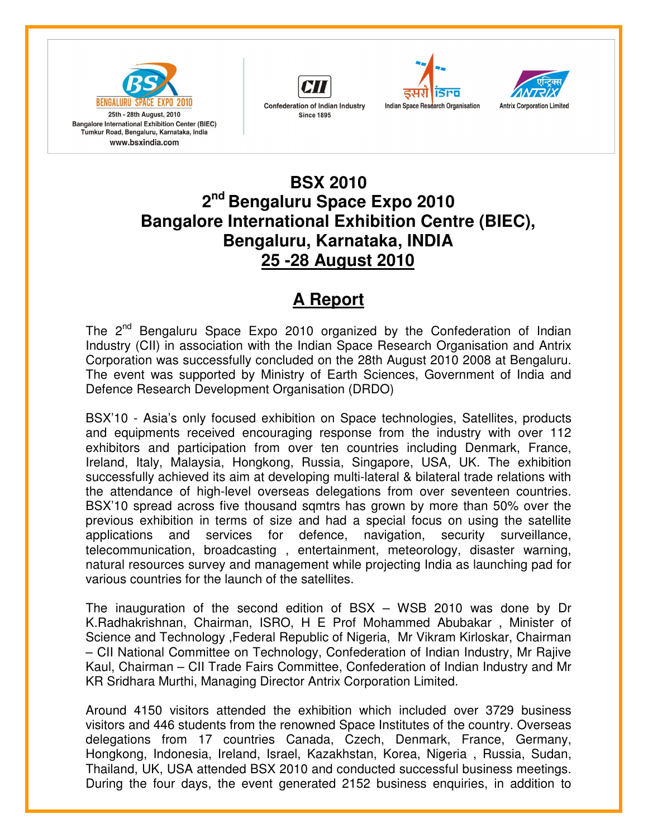







## **BSX 2010 2 nd Bengaluru Space Expo 2010 Bangalore International Exhibition Centre (BIEC), Bengaluru, Karnataka, INDIA 25 -28 August 2010**

## **A Report**

The 2<sup>nd</sup> Bengaluru Space Expo 2010 organized by the Confederation of Indian Industry (CII) in association with the Indian Space Research Organisation and Antrix Corporation was successfully concluded on the 28th August 2010 2008 at Bengaluru. The event was supported by Ministry of Earth Sciences, Government of India and Defence Research Development Organisation (DRDO)

BSX'10 - Asia's only focused exhibition on Space technologies, Satellites, products and equipments received encouraging response from the industry with over 112 exhibitors and participation from over ten countries including Denmark, France, Ireland, Italy, Malaysia, Hongkong, Russia, Singapore, USA, UK. The exhibition successfully achieved its aim at developing multi-lateral & bilateral trade relations with the attendance of high-level overseas delegations from over seventeen countries. BSX'10 spread across five thousand sqmtrs has grown by more than 50% over the previous exhibition in terms of size and had a special focus on using the satellite applications and services for defence, navigation, security surveillance, telecommunication, broadcasting , entertainment, meteorology, disaster warning, natural resources survey and management while projecting India as launching pad for various countries for the launch of the satellites.

The inauguration of the second edition of BSX – WSB 2010 was done by Dr K.Radhakrishnan, Chairman, ISRO, H E Prof Mohammed Abubakar , Minister of Science and Technology ,Federal Republic of Nigeria, Mr Vikram Kirloskar, Chairman – CII National Committee on Technology, Confederation of Indian Industry, Mr Rajive Kaul, Chairman – CII Trade Fairs Committee, Confederation of Indian Industry and Mr KR Sridhara Murthi, Managing Director Antrix Corporation Limited.

Around 4150 visitors attended the exhibition which included over 3729 business visitors and 446 students from the renowned Space Institutes of the country. Overseas delegations from 17 countries Canada, Czech, Denmark, France, Germany, Hongkong, Indonesia, Ireland, Israel, Kazakhstan, Korea, Nigeria , Russia, Sudan, Thailand, UK, USA attended BSX 2010 and conducted successful business meetings. During the four days, the event generated 2152 business enquiries, in addition to